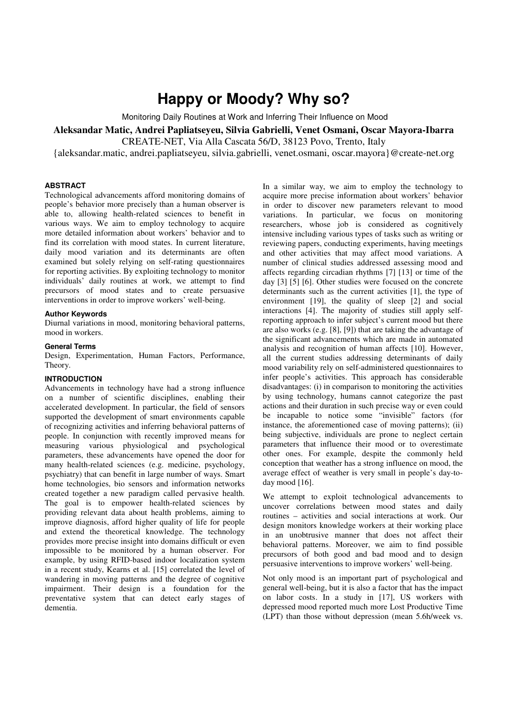# **Happy or Moody? Why so?**

Monitoring Daily Routines at Work and Inferring Their Influence on Mood

**Aleksandar Matic, Andrei Papliatseyeu, Silvia Gabrielli, Venet Osmani, Oscar Mayora-Ibarra** 

CREATE-NET, Via Alla Cascata 56/D, 38123 Povo, Trento, Italy

{aleksandar.matic, andrei.papliatseyeu, silvia.gabrielli, venet.osmani, oscar.mayora}@create-net.org

## **ABSTRACT**

Technological advancements afford monitoring domains of people's behavior more precisely than a human observer is able to, allowing health-related sciences to benefit in various ways. We aim to employ technology to acquire more detailed information about workers' behavior and to find its correlation with mood states. In current literature, daily mood variation and its determinants are often examined but solely relying on self-rating questionnaires for reporting activities. By exploiting technology to monitor individuals' daily routines at work, we attempt to find precursors of mood states and to create persuasive interventions in order to improve workers' well-being.

## **Author Keywords**

Diurnal variations in mood, monitoring behavioral patterns, mood in workers.

#### **General Terms**

Design, Experimentation, Human Factors, Performance, Theory.

## **INTRODUCTION**

Advancements in technology have had a strong influence on a number of scientific disciplines, enabling their accelerated development. In particular, the field of sensors supported the development of smart environments capable of recognizing activities and inferring behavioral patterns of people. In conjunction with recently improved means for measuring various physiological and psychological parameters, these advancements have opened the door for many health-related sciences (e.g. medicine, psychology, psychiatry) that can benefit in large number of ways. Smart home technologies, bio sensors and information networks created together a new paradigm called pervasive health. The goal is to empower health-related sciences by providing relevant data about health problems, aiming to improve diagnosis, afford higher quality of life for people and extend the theoretical knowledge. The technology provides more precise insight into domains difficult or even impossible to be monitored by a human observer. For example, by using RFID-based indoor localization system in a recent study, Kearns et al. [15] correlated the level of wandering in moving patterns and the degree of cognitive impairment. Their design is a foundation for the preventative system that can detect early stages of dementia.

In a similar way, we aim to employ the technology to acquire more precise information about workers' behavior in order to discover new parameters relevant to mood variations. In particular, we focus on monitoring researchers, whose job is considered as cognitively intensive including various types of tasks such as writing or reviewing papers, conducting experiments, having meetings and other activities that may affect mood variations. A number of clinical studies addressed assessing mood and affects regarding circadian rhythms [7] [13] or time of the day [3] [5] [6]. Other studies were focused on the concrete determinants such as the current activities [1], the type of environment [19], the quality of sleep [2] and social interactions [4]. The majority of studies still apply selfreporting approach to infer subject's current mood but there are also works (e.g. [8], [9]) that are taking the advantage of the significant advancements which are made in automated analysis and recognition of human affects [10]. However, all the current studies addressing determinants of daily mood variability rely on self-administered questionnaires to infer people's activities. This approach has considerable disadvantages: (i) in comparison to monitoring the activities by using technology, humans cannot categorize the past actions and their duration in such precise way or even could be incapable to notice some "invisible" factors (for instance, the aforementioned case of moving patterns); (ii) being subjective, individuals are prone to neglect certain parameters that influence their mood or to overestimate other ones. For example, despite the commonly held conception that weather has a strong influence on mood, the average effect of weather is very small in people's day-today mood [16].

We attempt to exploit technological advancements to uncover correlations between mood states and daily routines – activities and social interactions at work. Our design monitors knowledge workers at their working place in an unobtrusive manner that does not affect their behavioral patterns. Moreover, we aim to find possible precursors of both good and bad mood and to design persuasive interventions to improve workers' well-being.

Not only mood is an important part of psychological and general well-being, but it is also a factor that has the impact on labor costs. In a study in [17], US workers with depressed mood reported much more Lost Productive Time (LPT) than those without depression (mean 5.6h/week vs.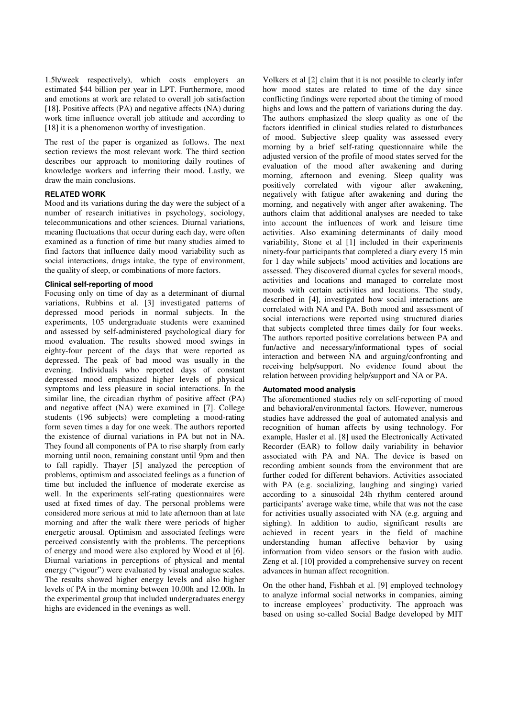1.5h/week respectively), which costs employers an estimated \$44 billion per year in LPT. Furthermore, mood and emotions at work are related to overall job satisfaction [18]. Positive affects (PA) and negative affects (NA) during work time influence overall job attitude and according to [18] it is a phenomenon worthy of investigation.

The rest of the paper is organized as follows. The next section reviews the most relevant work. The third section describes our approach to monitoring daily routines of knowledge workers and inferring their mood. Lastly, we draw the main conclusions.

## **RELATED WORK**

Mood and its variations during the day were the subject of a number of research initiatives in psychology, sociology, telecommunications and other sciences. Diurnal variations, meaning fluctuations that occur during each day, were often examined as a function of time but many studies aimed to find factors that influence daily mood variability such as social interactions, drugs intake, the type of environment, the quality of sleep, or combinations of more factors.

## **Clinical self-reporting of mood**

Focusing only on time of day as a determinant of diurnal variations, Rubbins et al. [3] investigated patterns of depressed mood periods in normal subjects. In the experiments, 105 undergraduate students were examined and assessed by self-administered psychological diary for mood evaluation. The results showed mood swings in eighty-four percent of the days that were reported as depressed. The peak of bad mood was usually in the evening. Individuals who reported days of constant depressed mood emphasized higher levels of physical symptoms and less pleasure in social interactions. In the similar line, the circadian rhythm of positive affect (PA) and negative affect (NA) were examined in [7]. College students (196 subjects) were completing a mood-rating form seven times a day for one week. The authors reported the existence of diurnal variations in PA but not in NA. They found all components of PA to rise sharply from early morning until noon, remaining constant until 9pm and then to fall rapidly. Thayer [5] analyzed the perception of problems, optimism and associated feelings as a function of time but included the influence of moderate exercise as well. In the experiments self-rating questionnaires were used at fixed times of day. The personal problems were considered more serious at mid to late afternoon than at late morning and after the walk there were periods of higher energetic arousal. Optimism and associated feelings were perceived consistently with the problems. The perceptions of energy and mood were also explored by Wood et al [6]. Diurnal variations in perceptions of physical and mental energy ("vigour") were evaluated by visual analogue scales. The results showed higher energy levels and also higher levels of PA in the morning between 10.00h and 12.00h. In the experimental group that included undergraduates energy highs are evidenced in the evenings as well.

Volkers et al [2] claim that it is not possible to clearly infer how mood states are related to time of the day since conflicting findings were reported about the timing of mood highs and lows and the pattern of variations during the day. The authors emphasized the sleep quality as one of the factors identified in clinical studies related to disturbances of mood. Subjective sleep quality was assessed every morning by a brief self-rating questionnaire while the adjusted version of the profile of mood states served for the evaluation of the mood after awakening and during morning, afternoon and evening. Sleep quality was positively correlated with vigour after awakening, negatively with fatigue after awakening and during the morning, and negatively with anger after awakening. The authors claim that additional analyses are needed to take into account the influences of work and leisure time activities. Also examining determinants of daily mood variability, Stone et al [1] included in their experiments ninety-four participants that completed a diary every 15 min for 1 day while subjects' mood activities and locations are assessed. They discovered diurnal cycles for several moods, activities and locations and managed to correlate most moods with certain activities and locations. The study, described in [4], investigated how social interactions are correlated with NA and PA. Both mood and assessment of social interactions were reported using structured diaries that subjects completed three times daily for four weeks. The authors reported positive correlations between PA and fun/active and necessary/informational types of social interaction and between NA and arguing/confronting and receiving help/support. No evidence found about the relation between providing help/support and NA or PA.

## **Automated mood analysis**

The aforementioned studies rely on self-reporting of mood and behavioral/environmental factors. However, numerous studies have addressed the goal of automated analysis and recognition of human affects by using technology. For example, Hasler et al. [8] used the Electronically Activated Recorder (EAR) to follow daily variability in behavior associated with PA and NA. The device is based on recording ambient sounds from the environment that are further coded for different behaviors. Activities associated with PA (e.g. socializing, laughing and singing) varied according to a sinusoidal 24h rhythm centered around participants' average wake time, while that was not the case for activities usually associated with NA (e.g. arguing and sighing). In addition to audio, significant results are achieved in recent years in the field of machine understanding human affective behavior by using information from video sensors or the fusion with audio. Zeng et al. [10] provided a comprehensive survey on recent advances in human affect recognition.

On the other hand, Fishbah et al. [9] employed technology to analyze informal social networks in companies, aiming to increase employees' productivity. The approach was based on using so-called Social Badge developed by MIT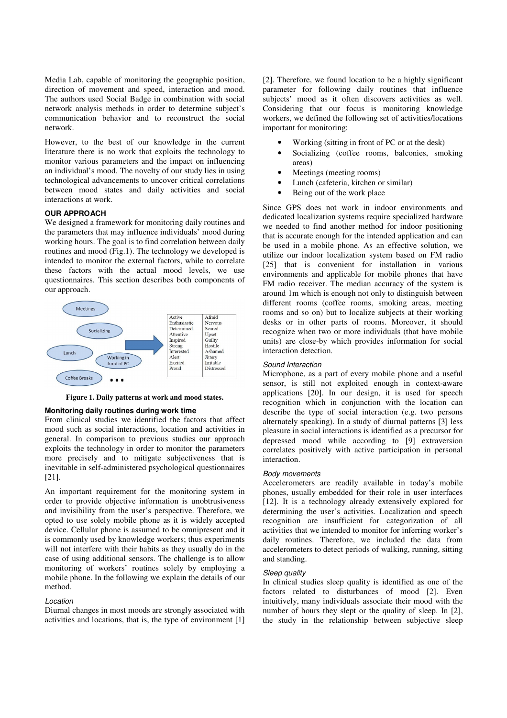Media Lab, capable of monitoring the geographic position, direction of movement and speed, interaction and mood. The authors used Social Badge in combination with social network analysis methods in order to determine subject's communication behavior and to reconstruct the social network.

However, to the best of our knowledge in the current literature there is no work that exploits the technology to monitor various parameters and the impact on influencing an individual's mood. The novelty of our study lies in using technological advancements to uncover critical correlations between mood states and daily activities and social interactions at work.

## **OUR APPROACH**

We designed a framework for monitoring daily routines and the parameters that may influence individuals' mood during working hours. The goal is to find correlation between daily routines and mood (Fig.1). The technology we developed is intended to monitor the external factors, while to correlate these factors with the actual mood levels, we use questionnaires. This section describes both components of our approach.



**Figure 1. Daily patterns at work and mood states.** 

#### **Monitoring daily routines during work time**

From clinical studies we identified the factors that affect mood such as social interactions, location and activities in general. In comparison to previous studies our approach exploits the technology in order to monitor the parameters more precisely and to mitigate subjectiveness that is inevitable in self-administered psychological questionnaires [21].

An important requirement for the monitoring system in order to provide objective information is unobtrusiveness and invisibility from the user's perspective. Therefore, we opted to use solely mobile phone as it is widely accepted device. Cellular phone is assumed to be omnipresent and it is commonly used by knowledge workers; thus experiments will not interfere with their habits as they usually do in the case of using additional sensors. The challenge is to allow monitoring of workers' routines solely by employing a mobile phone. In the following we explain the details of our method.

#### Location

Diurnal changes in most moods are strongly associated with activities and locations, that is, the type of environment [1] [2]. Therefore, we found location to be a highly significant parameter for following daily routines that influence subjects' mood as it often discovers activities as well. Considering that our focus is monitoring knowledge workers, we defined the following set of activities/locations important for monitoring:

- Working (sitting in front of PC or at the desk)
- Socializing (coffee rooms, balconies, smoking areas)
- Meetings (meeting rooms)
- Lunch (cafeteria, kitchen or similar)
- Being out of the work place

Since GPS does not work in indoor environments and dedicated localization systems require specialized hardware we needed to find another method for indoor positioning that is accurate enough for the intended application and can be used in a mobile phone. As an effective solution, we utilize our indoor localization system based on FM radio [25] that is convenient for installation in various environments and applicable for mobile phones that have FM radio receiver. The median accuracy of the system is around 1m which is enough not only to distinguish between different rooms (coffee rooms, smoking areas, meeting rooms and so on) but to localize subjects at their working desks or in other parts of rooms. Moreover, it should recognize when two or more individuals (that have mobile units) are close-by which provides information for social interaction detection.

#### Sound Interaction

Microphone, as a part of every mobile phone and a useful sensor, is still not exploited enough in context-aware applications [20]. In our design, it is used for speech recognition which in conjunction with the location can describe the type of social interaction (e.g. two persons alternately speaking). In a study of diurnal patterns [3] less pleasure in social interactions is identified as a precursor for depressed mood while according to [9] extraversion correlates positively with active participation in personal interaction.

#### Body movements

Accelerometers are readily available in today's mobile phones, usually embedded for their role in user interfaces [12]. It is a technology already extensively explored for determining the user's activities. Localization and speech recognition are insufficient for categorization of all activities that we intended to monitor for inferring worker's daily routines. Therefore, we included the data from accelerometers to detect periods of walking, running, sitting and standing.

#### Sleep quality

In clinical studies sleep quality is identified as one of the factors related to disturbances of mood [2]. Even intuitively, many individuals associate their mood with the number of hours they slept or the quality of sleep. In [2], the study in the relationship between subjective sleep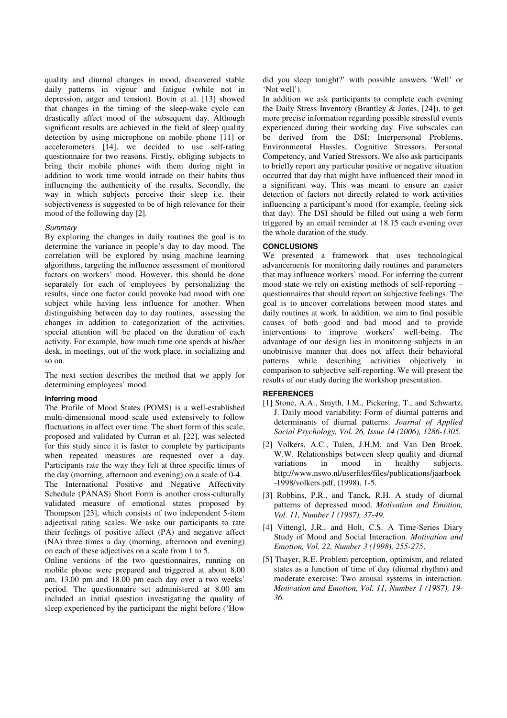quality and diurnal changes in mood, discovered stable daily patterns in vigour and fatigue (while not in depression, anger and tension). Bovin et al. [13] showed that changes in the timing of the sleep-wake cycle can drastically affect mood of the subsequent day. Although significant results are achieved in the field of sleep quality detection by using microphone on mobile phone [11] or accelerometers [14], we decided to use self-rating questionnaire for two reasons. Firstly, obliging subjects to bring their mobile phones with them during night in addition to work time would intrude on their habits thus influencing the authenticity of the results. Secondly, the way in which subjects perceive their sleep i.e. their subjectiveness is suggested to be of high relevance for their mood of the following day [2].

#### **Summary**

By exploring the changes in daily routines the goal is to determine the variance in people's day to day mood. The correlation will be explored by using machine learning algorithms, targeting the influence assessment of monitored factors on workers' mood. However, this should be done separately for each of employees by personalizing the results, since one factor could provoke bad mood with one subject while having less influence for another. When distinguishing between day to day routines, assessing the changes in addition to categorization of the activities, special attention will be placed on the duration of each activity. For example, how much time one spends at his/her desk, in meetings, out of the work place, in socializing and so on.

The next section describes the method that we apply for determining employees' mood.

## **Inferring mood**

The Profile of Mood States (POMS) is a well-established multi-dimensional mood scale used extensively to follow fluctuations in affect over time. The short form of this scale, proposed and validated by Curran et al. [22], was selected for this study since it is faster to complete by participants when repeated measures are requested over a day. Participants rate the way they felt at three specific times of the day (morning, afternoon and evening) on a scale of 0-4. The International Positive and Negative Affectivity Schedule (PANAS) Short Form is another cross-culturally validated measure of emotional states proposed by Thompson [23], which consists of two independent 5-item adjectival rating scales. We aske our participants to rate their feelings of positive affect (PA) and negative affect (NA) three times a day (morning, afternoon and evening) on each of these adjectives on a scale from 1 to 5.

Online versions of the two questionnaires, running on mobile phone were prepared and triggered at about 8.00 am, 13.00 pm and 18.00 pm each day over a two weeks' period. The questionnaire set administered at 8.00 am included an initial question investigating the quality of sleep experienced by the participant the night before ('How

did you sleep tonight?' with possible answers 'Well' or 'Not well').

In addition we ask participants to complete each evening the Daily Stress Inventory (Brantley & Jones, [24]), to get more precise information regarding possible stressful events experienced during their working day. Five subscales can be derived from the DSI: Interpersonal Problems, Environmental Hassles, Cognitive Stressors, Personal Competency, and Varied Stressors. We also ask participants to briefly report any particular positive or negative situation occurred that day that might have influenced their mood in a significant way. This was meant to ensure an easier detection of factors not directly related to work activities influencing a participant's mood (for example, feeling sick that day). The DSI should be filled out using a web form triggered by an email reminder at 18.15 each evening over the whole duration of the study.

## **CONCLUSIONS**

We presented a framework that uses technological advancements for monitoring daily routines and parameters that may influence workers' mood. For inferring the current mood state we rely on existing methods of self-reporting – questionnaires that should report on subjective feelings. The goal is to uncover correlations between mood states and daily routines at work. In addition, we aim to find possible causes of both good and bad mood and to provide interventions to improve workers' well-being. The advantage of our design lies in monitoring subjects in an unobtrusive manner that does not affect their behavioral patterns while describing activities objectively in comparison to subjective self-reporting. We will present the results of our study during the workshop presentation.

#### **REFERENCES**

- [1] Stone, A.A., Smyth, J.M., Pickering, T., and Schwartz, J. Daily mood variability: Form of diurnal patterns and determinants of diurnal patterns. *Journal of Applied Social Psychology, Vol. 26, Issue 14 (2006), 1286-1305.*
- [2] Volkers, A.C., Tulen, J.H.M. and Van Den Broek, W.W. Relationships between sleep quality and diurnal variations in mood in healthy subjects. http://www.nswo.nl/userfiles/files/publications/jaarboek -1998/volkers.pdf, (1998), 1-5.
- [3] Robbins, P.R., and Tanck, R.H. A study of diurnal patterns of depressed mood. *Motivation and Emotion, Vol. 11, Number 1 (1987), 37-49*.
- [4] Vittengl, J.R., and Holt, C.S. A Time-Series Diary Study of Mood and Social Interaction. *Motivation and Emotion, Vol. 22, Number 3 (1998), 255-275*.
- [5] Thayer, R.E. Problem perception, optimism, and related states as a function of time of day (diurnal rhythm) and moderate exercise: Two arousal systems in interaction. *Motivation and Emotion, Vol. 11, Number 1 (1987), 19- 36.*